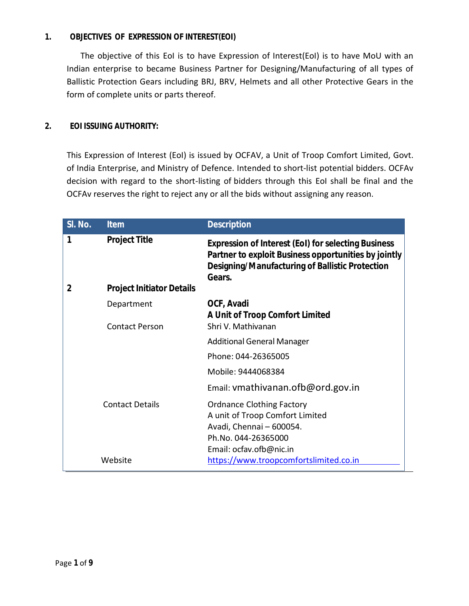#### **1. OBJECTIVES OF EXPRESSION OF INTEREST(EOI)**

The objective of this EoI is to have Expression of Interest(EoI) is to have MoU with an Indian enterprise to became Business Partner for Designing/Manufacturing of all types of Ballistic Protection Gears including BRJ, BRV, Helmets and all other Protective Gears in the form of complete units or parts thereof.

#### **2. EOI ISSUING AUTHORITY:**

This Expression of Interest (EoI) is issued by OCFAV, a Unit of Troop Comfort Limited, Govt. of India Enterprise, and Ministry of Defence. Intended to short-list potential bidders. OCFAv decision with regard to the short-listing of bidders through this EoI shall be final and the OCFAv reserves the right to reject any or all the bids without assigning any reason.

| SI. No.        | <b>Item</b>                      | <b>Description</b>                                                                                                                                                                     |
|----------------|----------------------------------|----------------------------------------------------------------------------------------------------------------------------------------------------------------------------------------|
| 1              | <b>Project Title</b>             | <b>Expression of Interest (EoI) for selecting Business</b><br>Partner to exploit Business opportunities by jointly<br><b>Designing/Manufacturing of Ballistic Protection</b><br>Gears. |
| $\overline{2}$ | <b>Project Initiator Details</b> |                                                                                                                                                                                        |
|                | Department                       | OCF, Avadi<br>A Unit of Troop Comfort Limited                                                                                                                                          |
|                | <b>Contact Person</b>            | Shri V. Mathivanan                                                                                                                                                                     |
|                |                                  | <b>Additional General Manager</b>                                                                                                                                                      |
|                |                                  | Phone: 044-26365005                                                                                                                                                                    |
|                |                                  | Mobile: 9444068384                                                                                                                                                                     |
|                |                                  | Email: vmathivanan.ofb@ord.gov.in                                                                                                                                                      |
|                | <b>Contact Details</b>           | <b>Ordnance Clothing Factory</b><br>A unit of Troop Comfort Limited<br>Avadi, Chennai - 600054.<br>Ph.No. 044-26365000<br>Email: ocfav.ofb@nic.in                                      |
|                | Website                          | https://www.troopcomfortslimited.co.in                                                                                                                                                 |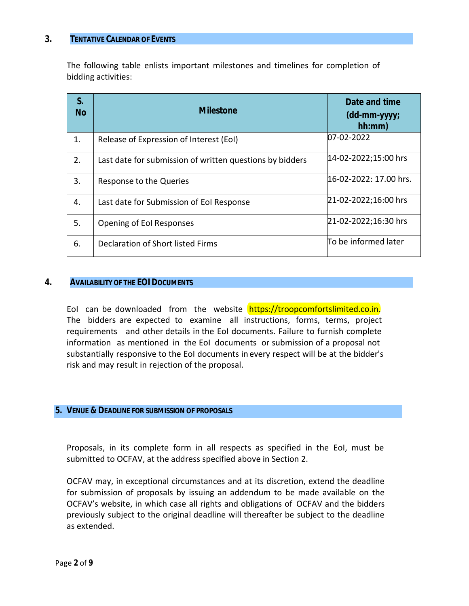#### **3. TENTATIVE CALENDAR OF EVENTS**

The following table enlists important milestones and timelines for completion of bidding activities:

| S.<br><b>No</b> | <b>Milestone</b>                                         | Date and time<br>$(dd\text{-}mm\text{-}yyy;$<br>hh:mm) |
|-----------------|----------------------------------------------------------|--------------------------------------------------------|
| 1.              | Release of Expression of Interest (EoI)                  | 07-02-2022                                             |
| 2.              | Last date for submission of written questions by bidders | 14-02-2022;15:00 hrs                                   |
| 3.              | Response to the Queries                                  | 16-02-2022: 17.00 hrs.                                 |
| 4.              | Last date for Submission of EoI Response                 | 21-02-2022;16:00 hrs                                   |
| 5.              | Opening of Eol Responses                                 | 21-02-2022;16:30 hrs                                   |
| 6.              | Declaration of Short listed Firms                        | To be informed later                                   |

#### **4. AVAILABILITY OF THE EOI DOCUMENTS**

EoI can be downloaded from the website https://troopcomfortslimited.co.in. The bidders are expected to examine all instructions, forms, terms, project requirements and other details in the EoI documents. Failure to furnish complete information as mentioned in the EoI documents or submission of a proposal not substantially responsive to the EoI documents in every respect will be at the bidder's risk and may result in rejection of the proposal.

#### **5. VENUE & DEADLINE FOR SUBMISSION OF PROPOSALS**

Proposals, in its complete form in all respects as specified in the EoI, must be submitted to OCFAV, at the address specified above in Section 2.

OCFAV may, in exceptional circumstances and at its discretion, extend the deadline for submission of proposals by issuing an addendum to be made available on the OCFAV's website, in which case all rights and obligations of OCFAV and the bidders previously subject to the original deadline will thereafter be subject to the deadline as extended.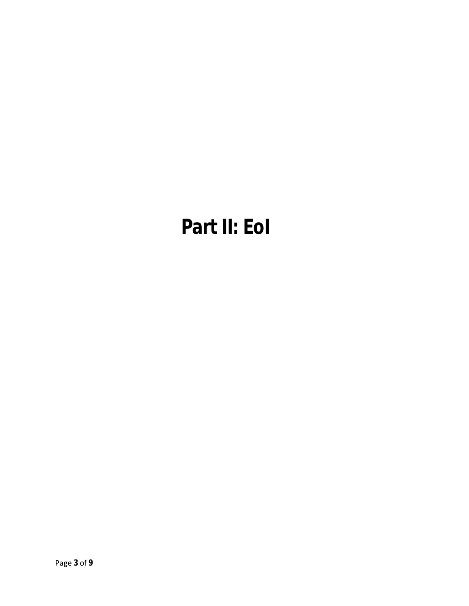# **Part II: EoI**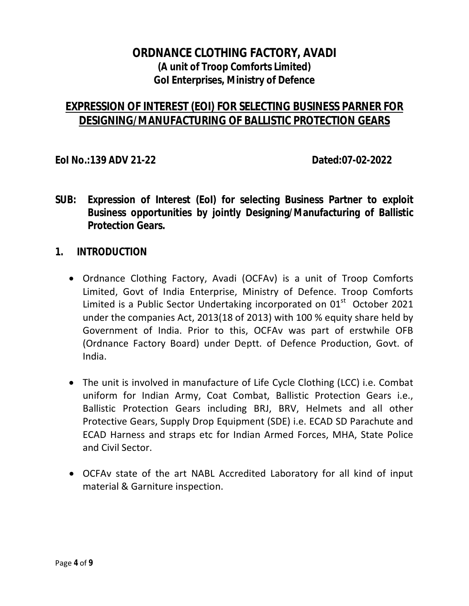# **ORDNANCE CLOTHING FACTORY, AVADI (A unit of Troop Comforts Limited) GoI Enterprises, Ministry of Defence**

# **EXPRESSION OF INTEREST (EOI) FOR SELECTING BUSINESS PARNER FOR DESIGNING/MANUFACTURING OF BALLISTIC PROTECTION GEARS**

**EoI No.:139 ADV 21-22 Dated:07-02-2022** 

- **SUB: Expression of Interest (EoI) for selecting Business Partner to exploit Business opportunities by jointly Designing/Manufacturing of Ballistic Protection Gears.**
- **1. INTRODUCTION** 
	- Ordnance Clothing Factory, Avadi (OCFAv) is a unit of Troop Comforts Limited, Govt of India Enterprise, Ministry of Defence. Troop Comforts Limited is a Public Sector Undertaking incorporated on  $01<sup>st</sup>$  October 2021 under the companies Act, 2013(18 of 2013) with 100 % equity share held by Government of India. Prior to this, OCFAv was part of erstwhile OFB (Ordnance Factory Board) under Deptt. of Defence Production, Govt. of India.
	- The unit is involved in manufacture of Life Cycle Clothing (LCC) i.e. Combat uniform for Indian Army, Coat Combat, Ballistic Protection Gears i.e., Ballistic Protection Gears including BRJ, BRV, Helmets and all other Protective Gears, Supply Drop Equipment (SDE) i.e. ECAD SD Parachute and ECAD Harness and straps etc for Indian Armed Forces, MHA, State Police and Civil Sector.
	- OCFAv state of the art NABL Accredited Laboratory for all kind of input material & Garniture inspection.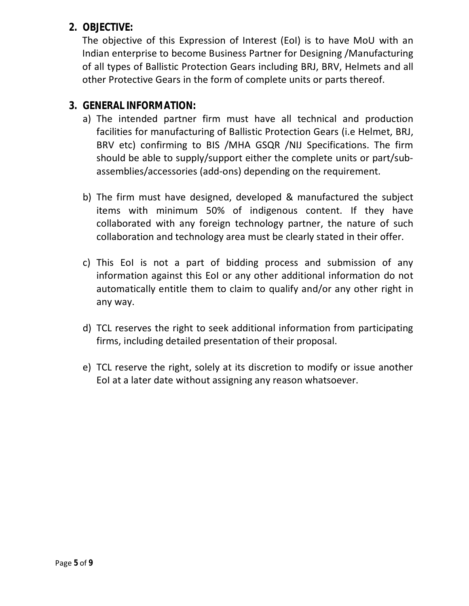## **2. OBJECTIVE:**

The objective of this Expression of Interest (EoI) is to have MoU with an Indian enterprise to become Business Partner for Designing /Manufacturing of all types of Ballistic Protection Gears including BRJ, BRV, Helmets and all other Protective Gears in the form of complete units or parts thereof.

## **3. GENERAL INFORMATION:**

- a) The intended partner firm must have all technical and production facilities for manufacturing of Ballistic Protection Gears (i.e Helmet, BRJ, BRV etc) confirming to BIS /MHA GSQR /NIJ Specifications. The firm should be able to supply/support either the complete units or part/subassemblies/accessories (add-ons) depending on the requirement.
- b) The firm must have designed, developed & manufactured the subject items with minimum 50% of indigenous content. If they have collaborated with any foreign technology partner, the nature of such collaboration and technology area must be clearly stated in their offer.
- c) This EoI is not a part of bidding process and submission of any information against this EoI or any other additional information do not automatically entitle them to claim to qualify and/or any other right in any way.
- d) TCL reserves the right to seek additional information from participating firms, including detailed presentation of their proposal.
- e) TCL reserve the right, solely at its discretion to modify or issue another EoI at a later date without assigning any reason whatsoever.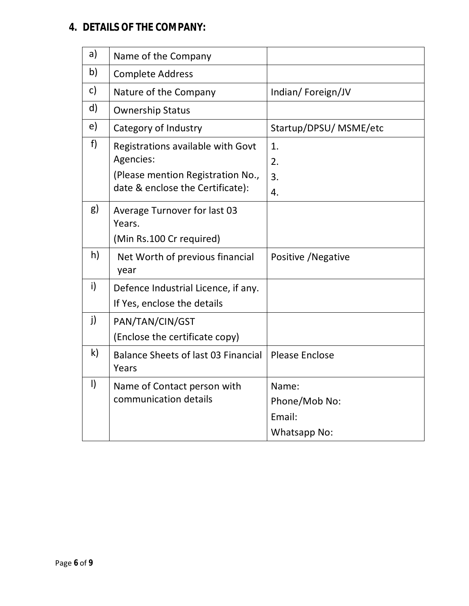## **4. DETAILS OF THE COMPANY:**

| a)                               | Name of the Company                                                |                                                  |  |
|----------------------------------|--------------------------------------------------------------------|--------------------------------------------------|--|
| b)                               | <b>Complete Address</b>                                            |                                                  |  |
| c)                               | Nature of the Company                                              | Indian/Foreign/JV                                |  |
| d)                               | <b>Ownership Status</b>                                            |                                                  |  |
| e)                               | Category of Industry                                               | Startup/DPSU/ MSME/etc                           |  |
| f                                | Registrations available with Govt<br>Agencies:                     | 1.<br>2.                                         |  |
|                                  | (Please mention Registration No.,                                  | 3.                                               |  |
| date & enclose the Certificate): |                                                                    | 4.                                               |  |
| g)                               | Average Turnover for last 03<br>Years.<br>(Min Rs.100 Cr required) |                                                  |  |
| h)                               | Net Worth of previous financial<br>year                            | Positive / Negative                              |  |
| i)                               | Defence Industrial Licence, if any.<br>If Yes, enclose the details |                                                  |  |
| j)                               | PAN/TAN/CIN/GST<br>(Enclose the certificate copy)                  |                                                  |  |
| k)                               | <b>Balance Sheets of last 03 Financial</b><br>Years                | <b>Please Enclose</b>                            |  |
| $\vert$                          | Name of Contact person with<br>communication details               | Name:<br>Phone/Mob No:<br>Email:<br>Whatsapp No: |  |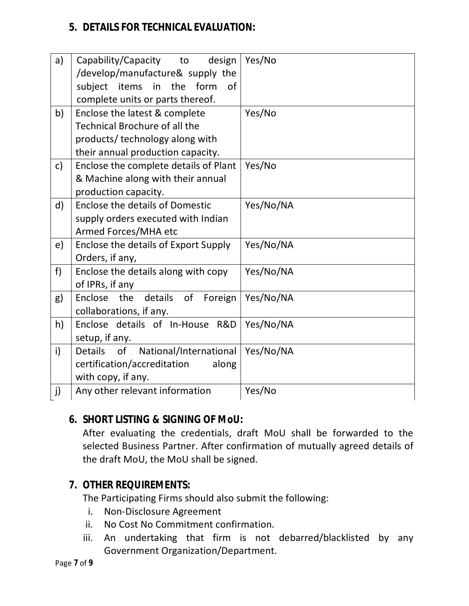## **5. DETAILS FOR TECHNICAL EVALUATION:**

| a)           | Capability/Capacity to<br>design               | Yes/No    |
|--------------|------------------------------------------------|-----------|
|              | /develop/manufacture& supply the               |           |
|              | subject items in<br>the form<br>0f             |           |
|              | complete units or parts thereof.               |           |
| b)           | Enclose the latest & complete                  | Yes/No    |
|              | <b>Technical Brochure of all the</b>           |           |
|              | products/ technology along with                |           |
|              | their annual production capacity.              |           |
| c)           | Enclose the complete details of Plant          | Yes/No    |
|              | & Machine along with their annual              |           |
|              | production capacity.                           |           |
| $\mathsf{d}$ | <b>Enclose the details of Domestic</b>         | Yes/No/NA |
|              | supply orders executed with Indian             |           |
|              | Armed Forces/MHA etc                           |           |
| e)           | Enclose the details of Export Supply           | Yes/No/NA |
|              | Orders, if any,                                |           |
| f)           | Enclose the details along with copy            | Yes/No/NA |
|              | of IPRs, if any                                |           |
| g)           | Enclose the<br>details<br>of<br>Foreign        | Yes/No/NA |
|              | collaborations, if any.                        |           |
| h)           | Enclose details of In-House R&D                | Yes/No/NA |
|              | setup, if any.                                 |           |
| i)           | National/International<br>of<br><b>Details</b> | Yes/No/NA |
|              | certification/accreditation<br>along           |           |
|              | with copy, if any.                             |           |
| j)           | Any other relevant information                 | Yes/No    |

# **6. SHORT LISTING & SIGNING OF MoU:**

After evaluating the credentials, draft MoU shall be forwarded to the selected Business Partner. After confirmation of mutually agreed details of the draft MoU, the MoU shall be signed.

# **7. OTHER REQUIREMENTS:**

The Participating Firms should also submit the following:

- i. Non-Disclosure Agreement
- ii. No Cost No Commitment confirmation.
- iii. An undertaking that firm is not debarred/blacklisted by any Government Organization/Department.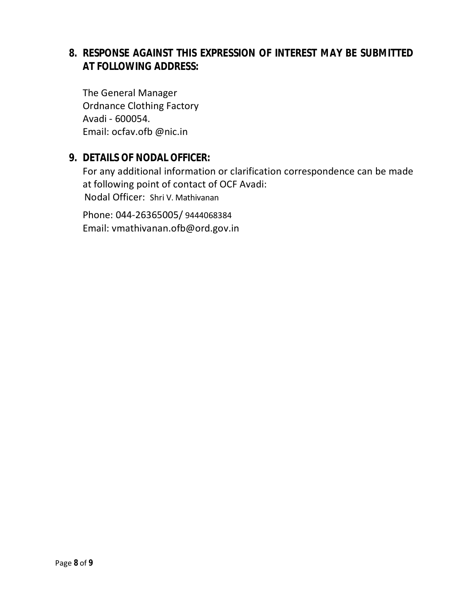## **8. RESPONSE AGAINST THIS EXPRESSION OF INTEREST MAY BE SUBMITTED AT FOLLOWING ADDRESS:**

The General Manager Ordnance Clothing Factory Avadi - 600054. Email: ocfav.ofb @nic.in

## **9. DETAILS OF NODAL OFFICER:**

For any additional information or clarification correspondence can be made at following point of contact of OCF Avadi: Nodal Officer: Shri V. Mathivanan

Phone: 044-26365005/ 9444068384 Email: vmathivanan.ofb@ord.gov.in